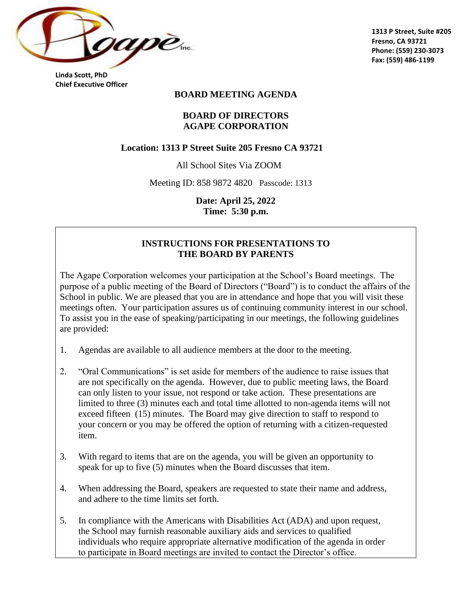

**Linda Scott, PhD Chief Executive Officer**  **1313 P Street, Suite #205 Fresno, CA 93721 Phone: (559) 230-3073 Fax: (559) 486-1199**

#### **BOARD MEETING AGENDA**

### **BOARD OF DIRECTORS AGAPE CORPORATION**

#### **Location: 1313 P Street Suite 205 Fresno CA 93721**

All School Sites Via ZOOM

Meeting ID: 858 9872 4820 Passcode: 1313

**Date: April 25, 2022 Time: 5:30 p.m.**

### **INSTRUCTIONS FOR PRESENTATIONS TO THE BOARD BY PARENTS**

The Agape Corporation welcomes your participation at the School's Board meetings. The purpose of a public meeting of the Board of Directors ("Board") is to conduct the affairs of the School in public. We are pleased that you are in attendance and hope that you will visit these meetings often. Your participation assures us of continuing community interest in our school. To assist you in the ease of speaking/participating in our meetings, the following guidelines are provided:

- 1. Agendas are available to all audience members at the door to the meeting.
- 2. "Oral Communications" is set aside for members of the audience to raise issues that are not specifically on the agenda. However, due to public meeting laws, the Board can only listen to your issue, not respond or take action. These presentations are limited to three (3) minutes each and total time allotted to non-agenda items will not exceed fifteen (15) minutes. The Board may give direction to staff to respond to your concern or you may be offered the option of returning with a citizen-requested item.
- 3. With regard to items that are on the agenda, you will be given an opportunity to speak for up to five (5) minutes when the Board discusses that item.
- 4. When addressing the Board, speakers are requested to state their name and address, and adhere to the time limits set forth.
- 5. In compliance with the Americans with Disabilities Act (ADA) and upon request, the School may furnish reasonable auxiliary aids and services to qualified individuals who require appropriate alternative modification of the agenda in order to participate in Board meetings are invited to contact the Director's office.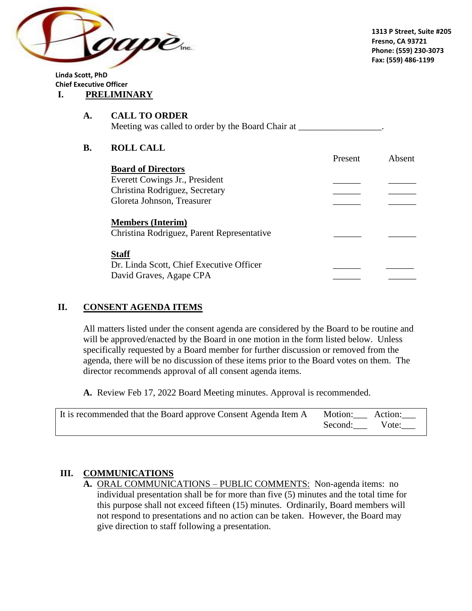

**Linda Scott, PhD Chief Executive Officer** 

### **I. PRELIMINARY**

#### **A. CALL TO ORDER** Meeting was called to order by the Board Chair at \_\_\_\_\_\_\_\_\_\_\_\_\_\_\_\_\_\_\_\_\_\_\_\_\_\_\_\_\_\_

### **B. ROLL CALL**

|                                                                        | Present | Absent |
|------------------------------------------------------------------------|---------|--------|
| <b>Board of Directors</b>                                              |         |        |
| Everett Cowings Jr., President                                         |         |        |
| Christina Rodriguez, Secretary                                         |         |        |
| Gloreta Johnson, Treasurer                                             |         |        |
| <b>Members (Interim)</b><br>Christina Rodriguez, Parent Representative |         |        |
| <b>Staff</b>                                                           |         |        |
| Dr. Linda Scott, Chief Executive Officer                               |         |        |
| David Graves, Agape CPA                                                |         |        |

## **II. CONSENT AGENDA ITEMS**

All matters listed under the consent agenda are considered by the Board to be routine and will be approved/enacted by the Board in one motion in the form listed below. Unless specifically requested by a Board member for further discussion or removed from the agenda, there will be no discussion of these items prior to the Board votes on them. The director recommends approval of all consent agenda items.

**A.** Review Feb 17, 2022 Board Meeting minutes. Approval is recommended.

| It is recommended that the Board approve Consent Agenda Item A Motion: ___ Action: |               |  |
|------------------------------------------------------------------------------------|---------------|--|
|                                                                                    | Second: Vote: |  |

## **III. COMMUNICATIONS**

**A.** ORAL COMMUNICATIONS – PUBLIC COMMENTS: Non-agenda items: no individual presentation shall be for more than five (5) minutes and the total time for this purpose shall not exceed fifteen (15) minutes. Ordinarily, Board members will not respond to presentations and no action can be taken. However, the Board may give direction to staff following a presentation.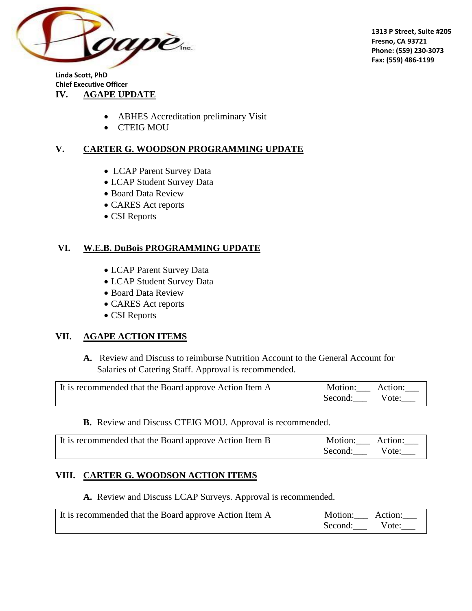

**Linda Scott, PhD Chief Executive Officer IV. AGAPE UPDATE**

- ABHES Accreditation preliminary Visit
- CTEIG MOU

# **V. CARTER G. WOODSON PROGRAMMING UPDATE**

- LCAP Parent Survey Data
- LCAP Student Survey Data
- Board Data Review
- CARES Act reports
- CSI Reports

# **VI. W.E.B. DuBois PROGRAMMING UPDATE**

- LCAP Parent Survey Data
- LCAP Student Survey Data
- Board Data Review
- CARES Act reports
- CSI Reports

## **VII. AGAPE ACTION ITEMS**

**A.** Review and Discuss to reimburse Nutrition Account to the General Account for Salaries of Catering Staff. Approval is recommended.

| It is recommended that the Board approve Action Item A | Motion: Action: |  |
|--------------------------------------------------------|-----------------|--|
|                                                        | Second: Vote:   |  |

### **B.** Review and Discuss CTEIG MOU. Approval is recommended.

| It is recommended that the Board approve Action Item B | Motion: Action: |  |
|--------------------------------------------------------|-----------------|--|
|                                                        | Second: Vote:   |  |

# **VIII. CARTER G. WOODSON ACTION ITEMS**

**A.** Review and Discuss LCAP Surveys. Approval is recommended.

| It is recommended that the Board approve Action Item A | Motion: Action: |  |
|--------------------------------------------------------|-----------------|--|
|                                                        | Second: Vote:   |  |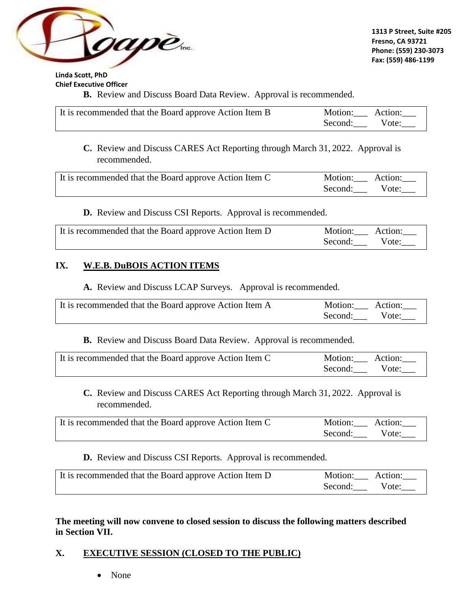

**Linda Scott, PhD Chief Executive Officer** 

**B.** Review and Discuss Board Data Review. Approval is recommended.

| It is recommended that the Board approve Action Item B | Motion: Action: |
|--------------------------------------------------------|-----------------|
|                                                        | Second: Vote:   |

**C.** Review and Discuss CARES Act Reporting through March 31, 2022. Approval is recommended.

| It is recommended that the Board approve Action Item C | Motion: Action: |  |
|--------------------------------------------------------|-----------------|--|
|                                                        | Second: Vote:   |  |

**D.** Review and Discuss CSI Reports. Approval is recommended.

| It is recommended that the Board approve Action Item D | Motion: Action: |  |
|--------------------------------------------------------|-----------------|--|
|                                                        | Second: Vote:   |  |

### **IX. W.E.B. DuBOIS ACTION ITEMS**

**A.** Review and Discuss LCAP Surveys. Approval is recommended.

| It is recommended that the Board approve Action Item A | Motion: Action: |  |
|--------------------------------------------------------|-----------------|--|
|                                                        | Second: Vote:   |  |

**B.** Review and Discuss Board Data Review. Approval is recommended.

| It is recommended that the Board approve Action Item C | Motion: Action: |  |
|--------------------------------------------------------|-----------------|--|
|                                                        | Second: Vote:   |  |

### **C.** Review and Discuss CARES Act Reporting through March 31, 2022. Approval is recommended.

| It is recommended that the Board approve Action Item C | Motion: Action: |  |
|--------------------------------------------------------|-----------------|--|
|                                                        | Second: Vote:   |  |

### **D.** Review and Discuss CSI Reports. Approval is recommended.

| It is recommended that the Board approve Action Item D | Motion: Action: |  |
|--------------------------------------------------------|-----------------|--|
|                                                        | Second: Vote:   |  |

**The meeting will now convene to closed session to discuss the following matters described in Section VII.**

# **X. EXECUTIVE SESSION (CLOSED TO THE PUBLIC)**

• None